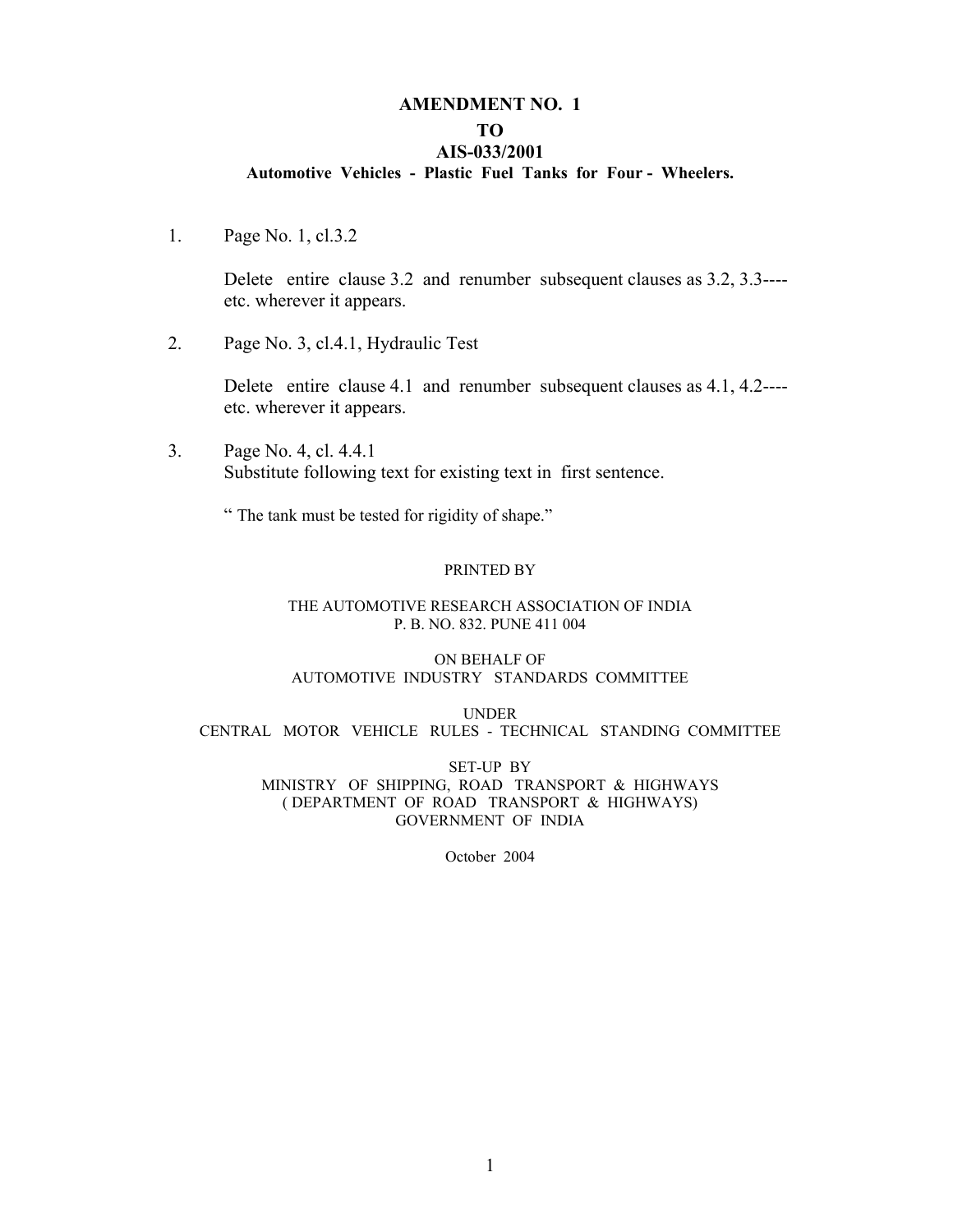# **AMENDMENT NO. 1 TO**

#### **AIS-033/2001**

#### **Automotive Vehicles - Plastic Fuel Tanks for Four - Wheelers.**

1. Page No. 1, cl.3.2

Delete entire clause 3.2 and renumber subsequent clauses as 3.2, 3.3--- etc. wherever it appears.

2. Page No. 3, cl.4.1, Hydraulic Test

Delete entire clause 4.1 and renumber subsequent clauses as 4.1, 4.2--- etc. wherever it appears.

3. Page No. 4, cl. 4.4.1 Substitute following text for existing text in first sentence.

" The tank must be tested for rigidity of shape."

#### PRINTED BY

#### THE AUTOMOTIVE RESEARCH ASSOCIATION OF INDIA P. B. NO. 832. PUNE 411 004

#### ON BEHALF OF AUTOMOTIVE INDUSTRY STANDARDS COMMITTEE

UNDER CENTRAL MOTOR VEHICLE RULES - TECHNICAL STANDING COMMITTEE

SET-UP BY MINISTRY OF SHIPPING, ROAD TRANSPORT & HIGHWAYS ( DEPARTMENT OF ROAD TRANSPORT & HIGHWAYS) GOVERNMENT OF INDIA

October 2004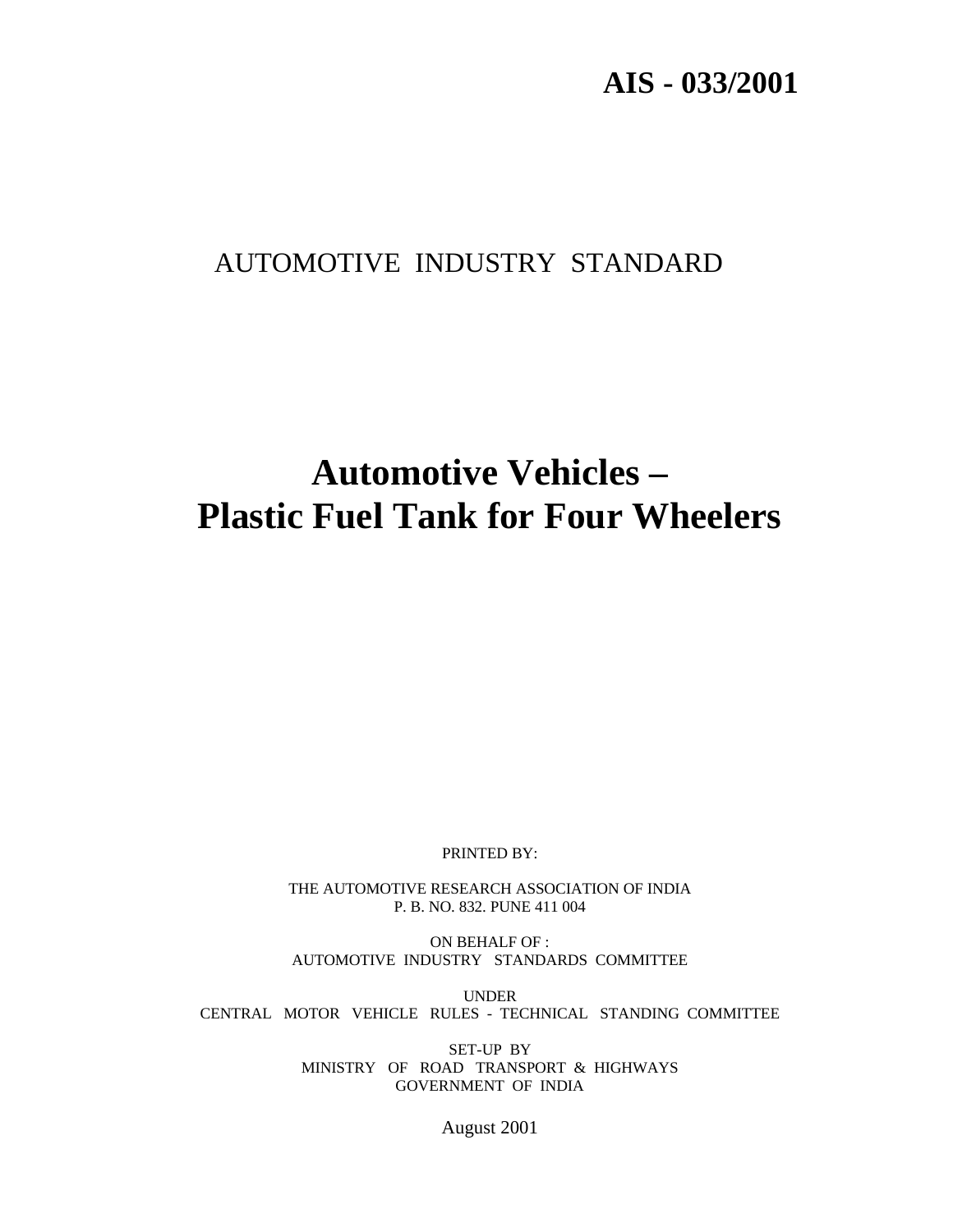# **AIS - 033/2001**

# AUTOMOTIVE INDUSTRY STANDARD

# **Automotive Vehicles – Plastic Fuel Tank for Four Wheelers**

PRINTED BY:

THE AUTOMOTIVE RESEARCH ASSOCIATION OF INDIA P. B. NO. 832. PUNE 411 004

ON BEHALF OF : AUTOMOTIVE INDUSTRY STANDARDS COMMITTEE

UNDER CENTRAL MOTOR VEHICLE RULES - TECHNICAL STANDING COMMITTEE

> SET-UP BY MINISTRY OF ROAD TRANSPORT & HIGHWAYS GOVERNMENT OF INDIA

> > August 2001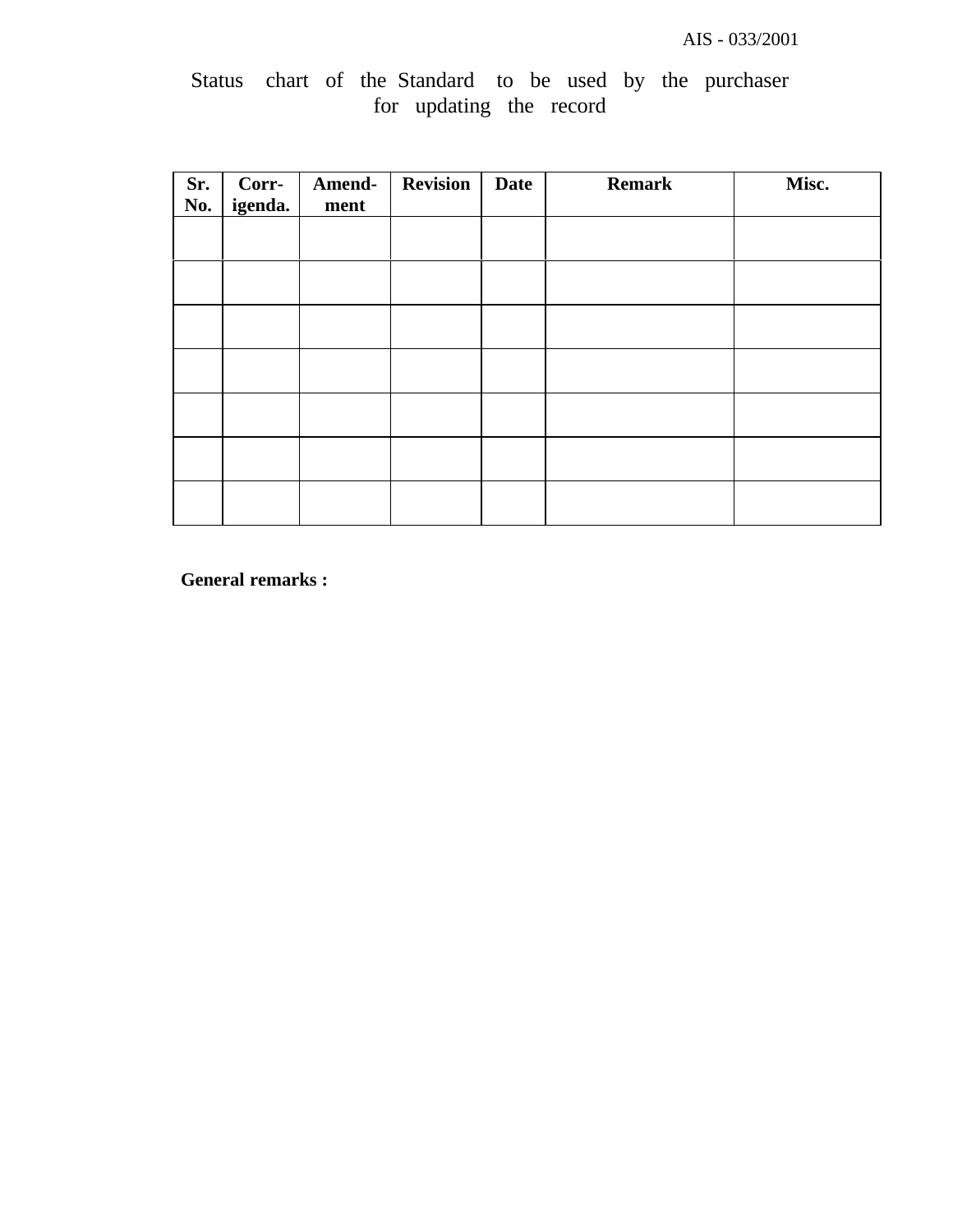|  |  |                         |  |  | Status chart of the Standard to be used by the purchaser |
|--|--|-------------------------|--|--|----------------------------------------------------------|
|  |  | for updating the record |  |  |                                                          |

| Sr.<br>No. | Corr-<br>igenda. | Amend-<br>ment | <b>Revision</b> | <b>Date</b> | <b>Remark</b> | Misc. |
|------------|------------------|----------------|-----------------|-------------|---------------|-------|
|            |                  |                |                 |             |               |       |
|            |                  |                |                 |             |               |       |
|            |                  |                |                 |             |               |       |
|            |                  |                |                 |             |               |       |
|            |                  |                |                 |             |               |       |
|            |                  |                |                 |             |               |       |
|            |                  |                |                 |             |               |       |

**General remarks :**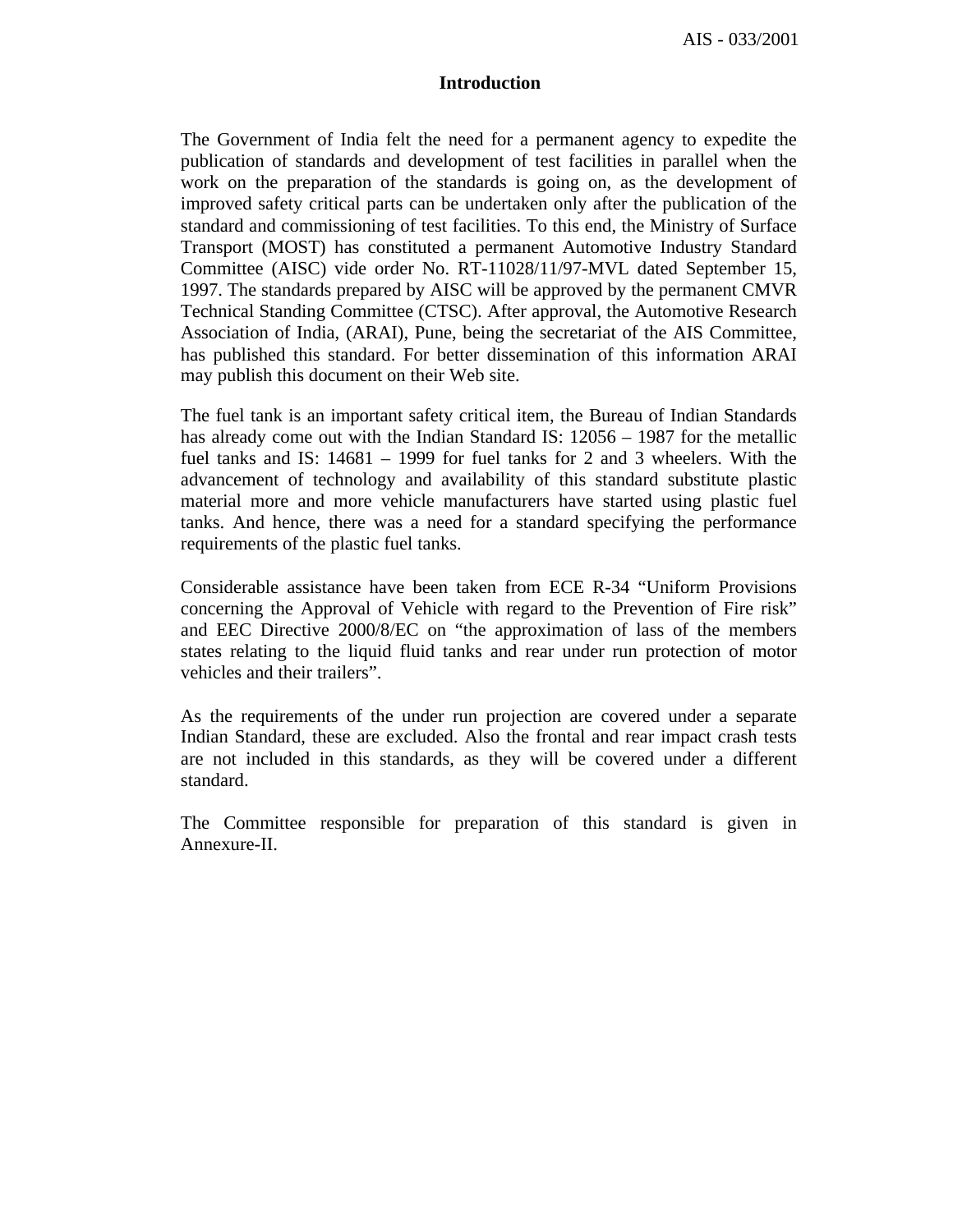AIS - 033/2001

#### **Introduction**

The Government of India felt the need for a permanent agency to expedite the publication of standards and development of test facilities in parallel when the work on the preparation of the standards is going on, as the development of improved safety critical parts can be undertaken only after the publication of the standard and commissioning of test facilities. To this end, the Ministry of Surface Transport (MOST) has constituted a permanent Automotive Industry Standard Committee (AISC) vide order No. RT-11028/11/97-MVL dated September 15, 1997. The standards prepared by AISC will be approved by the permanent CMVR Technical Standing Committee (CTSC). After approval, the Automotive Research Association of India, (ARAI), Pune, being the secretariat of the AIS Committee, has published this standard. For better dissemination of this information ARAI may publish this document on their Web site.

The fuel tank is an important safety critical item, the Bureau of Indian Standards has already come out with the Indian Standard IS: 12056 – 1987 for the metallic fuel tanks and IS: 14681 – 1999 for fuel tanks for 2 and 3 wheelers. With the advancement of technology and availability of this standard substitute plastic material more and more vehicle manufacturers have started using plastic fuel tanks. And hence, there was a need for a standard specifying the performance requirements of the plastic fuel tanks.

Considerable assistance have been taken from ECE R-34 "Uniform Provisions concerning the Approval of Vehicle with regard to the Prevention of Fire risk" and EEC Directive 2000/8/EC on "the approximation of lass of the members states relating to the liquid fluid tanks and rear under run protection of motor vehicles and their trailers".

As the requirements of the under run projection are covered under a separate Indian Standard, these are excluded. Also the frontal and rear impact crash tests are not included in this standards, as they will be covered under a different standard.

The Committee responsible for preparation of this standard is given in Annexure-II.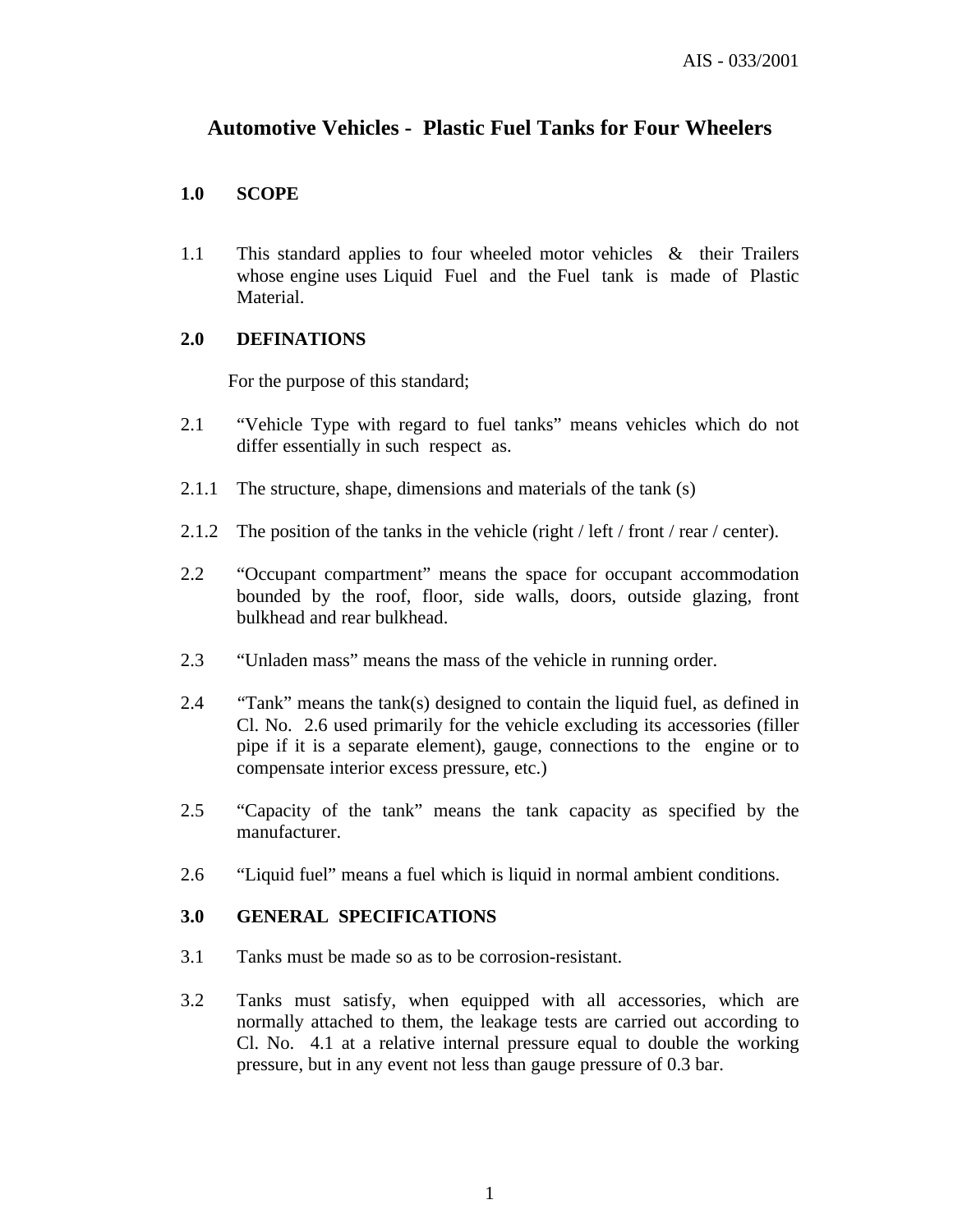# **Automotive Vehicles - Plastic Fuel Tanks for Four Wheelers**

#### **1.0 SCOPE**

1.1 This standard applies to four wheeled motor vehicles & their Trailers whose engine uses Liquid Fuel and the Fuel tank is made of Plastic Material.

#### **2.0 DEFINATIONS**

For the purpose of this standard;

- 2.1 "Vehicle Type with regard to fuel tanks" means vehicles which do not differ essentially in such respect as.
- 2.1.1 The structure, shape, dimensions and materials of the tank (s)
- 2.1.2 The position of the tanks in the vehicle (right / left / front / rear / center).
- 2.2 "Occupant compartment" means the space for occupant accommodation bounded by the roof, floor, side walls, doors, outside glazing, front bulkhead and rear bulkhead.
- 2.3 "Unladen mass" means the mass of the vehicle in running order.
- 2.4 "Tank" means the tank(s) designed to contain the liquid fuel, as defined in Cl. No. 2.6 used primarily for the vehicle excluding its accessories (filler pipe if it is a separate element), gauge, connections to the engine or to compensate interior excess pressure, etc.)
- 2.5 "Capacity of the tank" means the tank capacity as specified by the manufacturer.
- 2.6 "Liquid fuel" means a fuel which is liquid in normal ambient conditions.

#### **3.0 GENERAL SPECIFICATIONS**

- 3.1 Tanks must be made so as to be corrosion-resistant.
- 3.2 Tanks must satisfy, when equipped with all accessories, which are normally attached to them, the leakage tests are carried out according to Cl. No. 4.1 at a relative internal pressure equal to double the working pressure, but in any event not less than gauge pressure of 0.3 bar.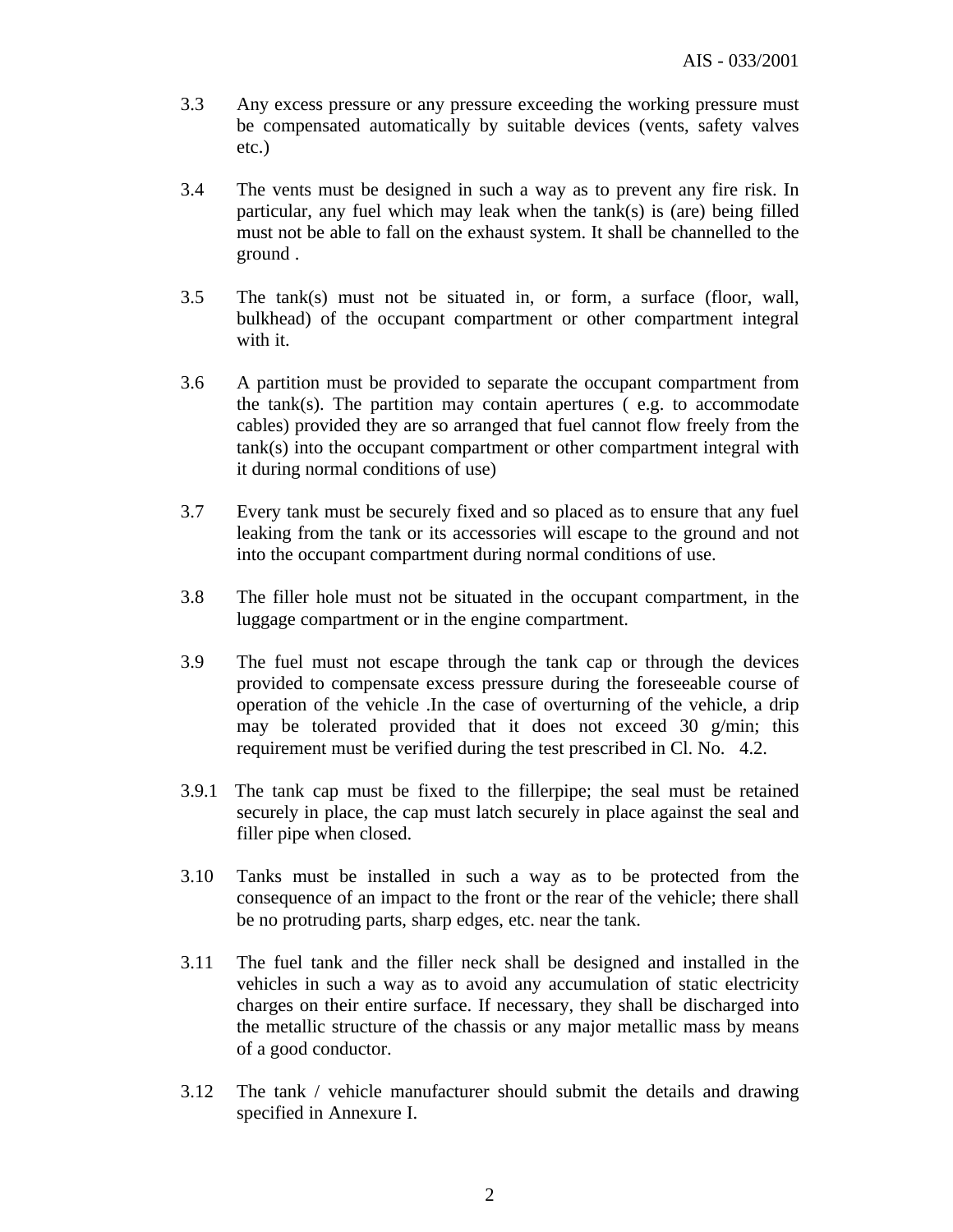- 3.3 Any excess pressure or any pressure exceeding the working pressure must be compensated automatically by suitable devices (vents, safety valves etc.)
- 3.4 The vents must be designed in such a way as to prevent any fire risk. In particular, any fuel which may leak when the tank(s) is (are) being filled must not be able to fall on the exhaust system. It shall be channelled to the ground .
- 3.5 The tank(s) must not be situated in, or form, a surface (floor, wall, bulkhead) of the occupant compartment or other compartment integral with it.
- 3.6 A partition must be provided to separate the occupant compartment from the tank(s). The partition may contain apertures  $($  e.g. to accommodate cables) provided they are so arranged that fuel cannot flow freely from the tank(s) into the occupant compartment or other compartment integral with it during normal conditions of use)
- 3.7 Every tank must be securely fixed and so placed as to ensure that any fuel leaking from the tank or its accessories will escape to the ground and not into the occupant compartment during normal conditions of use.
- 3.8 The filler hole must not be situated in the occupant compartment, in the luggage compartment or in the engine compartment.
- 3.9 The fuel must not escape through the tank cap or through the devices provided to compensate excess pressure during the foreseeable course of operation of the vehicle .In the case of overturning of the vehicle, a drip may be tolerated provided that it does not exceed 30 g/min; this requirement must be verified during the test prescribed in Cl. No. 4.2.
- 3.9.1 The tank cap must be fixed to the fillerpipe; the seal must be retained securely in place, the cap must latch securely in place against the seal and filler pipe when closed.
- 3.10 Tanks must be installed in such a way as to be protected from the consequence of an impact to the front or the rear of the vehicle; there shall be no protruding parts, sharp edges, etc. near the tank.
- 3.11 The fuel tank and the filler neck shall be designed and installed in the vehicles in such a way as to avoid any accumulation of static electricity charges on their entire surface. If necessary, they shall be discharged into the metallic structure of the chassis or any major metallic mass by means of a good conductor.
- 3.12 The tank / vehicle manufacturer should submit the details and drawing specified in Annexure I.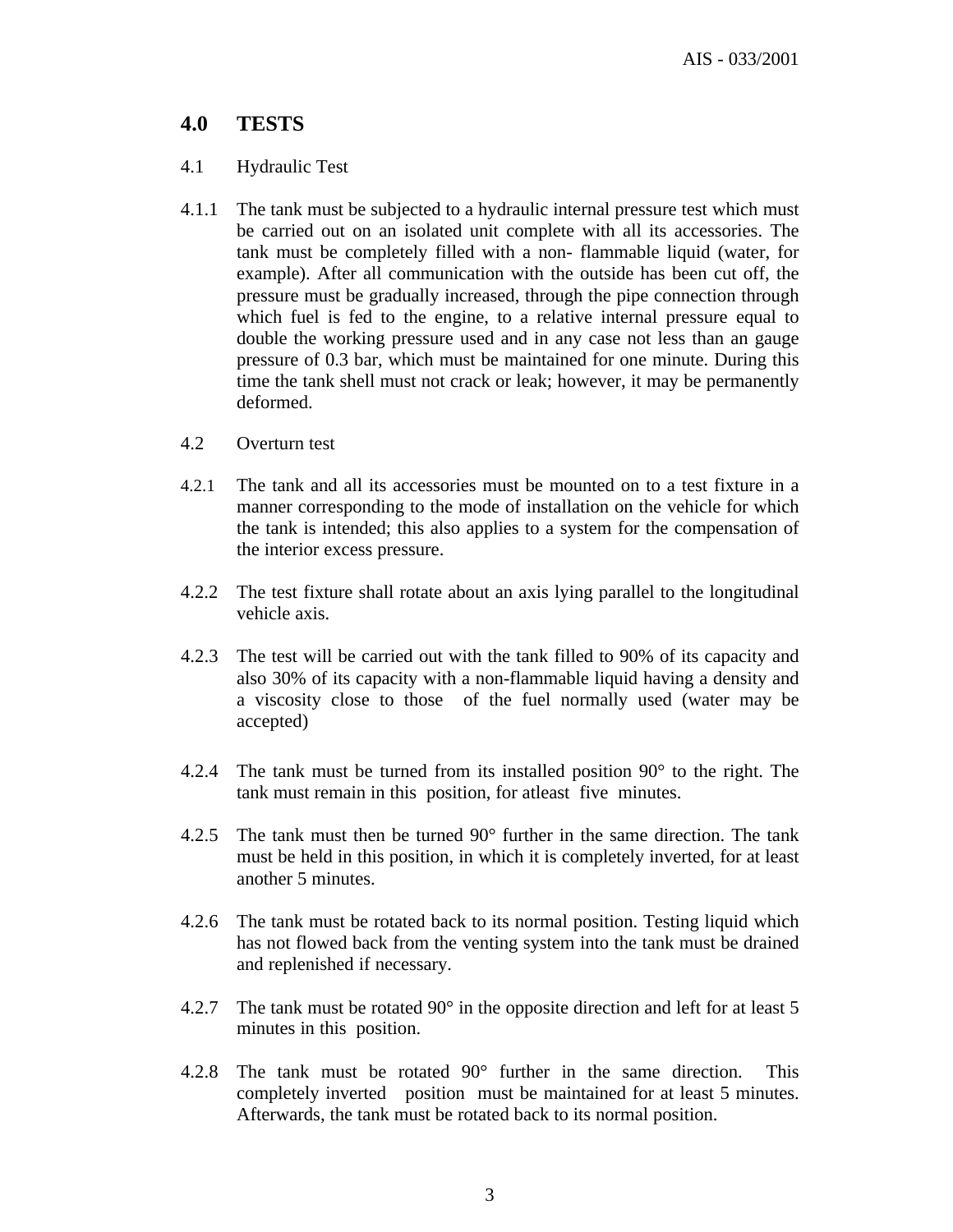# **4.0 TESTS**

### 4.1 Hydraulic Test

- 4.1.1 The tank must be subjected to a hydraulic internal pressure test which must be carried out on an isolated unit complete with all its accessories. The tank must be completely filled with a non- flammable liquid (water, for example). After all communication with the outside has been cut off, the pressure must be gradually increased, through the pipe connection through which fuel is fed to the engine, to a relative internal pressure equal to double the working pressure used and in any case not less than an gauge pressure of 0.3 bar, which must be maintained for one minute. During this time the tank shell must not crack or leak; however, it may be permanently deformed.
- 4.2 Overturn test
- 4.2.1 The tank and all its accessories must be mounted on to a test fixture in a manner corresponding to the mode of installation on the vehicle for which the tank is intended; this also applies to a system for the compensation of the interior excess pressure.
- 4.2.2 The test fixture shall rotate about an axis lying parallel to the longitudinal vehicle axis.
- 4.2.3 The test will be carried out with the tank filled to 90% of its capacity and also 30% of its capacity with a non-flammable liquid having a density and a viscosity close to those of the fuel normally used (water may be accepted)
- 4.2.4 The tank must be turned from its installed position 90° to the right. The tank must remain in this position, for atleast five minutes.
- 4.2.5 The tank must then be turned 90° further in the same direction. The tank must be held in this position, in which it is completely inverted, for at least another 5 minutes.
- 4.2.6 The tank must be rotated back to its normal position. Testing liquid which has not flowed back from the venting system into the tank must be drained and replenished if necessary.
- 4.2.7 The tank must be rotated 90° in the opposite direction and left for at least 5 minutes in this position.
- 4.2.8 The tank must be rotated 90° further in the same direction. This completely inverted position must be maintained for at least 5 minutes. Afterwards, the tank must be rotated back to its normal position.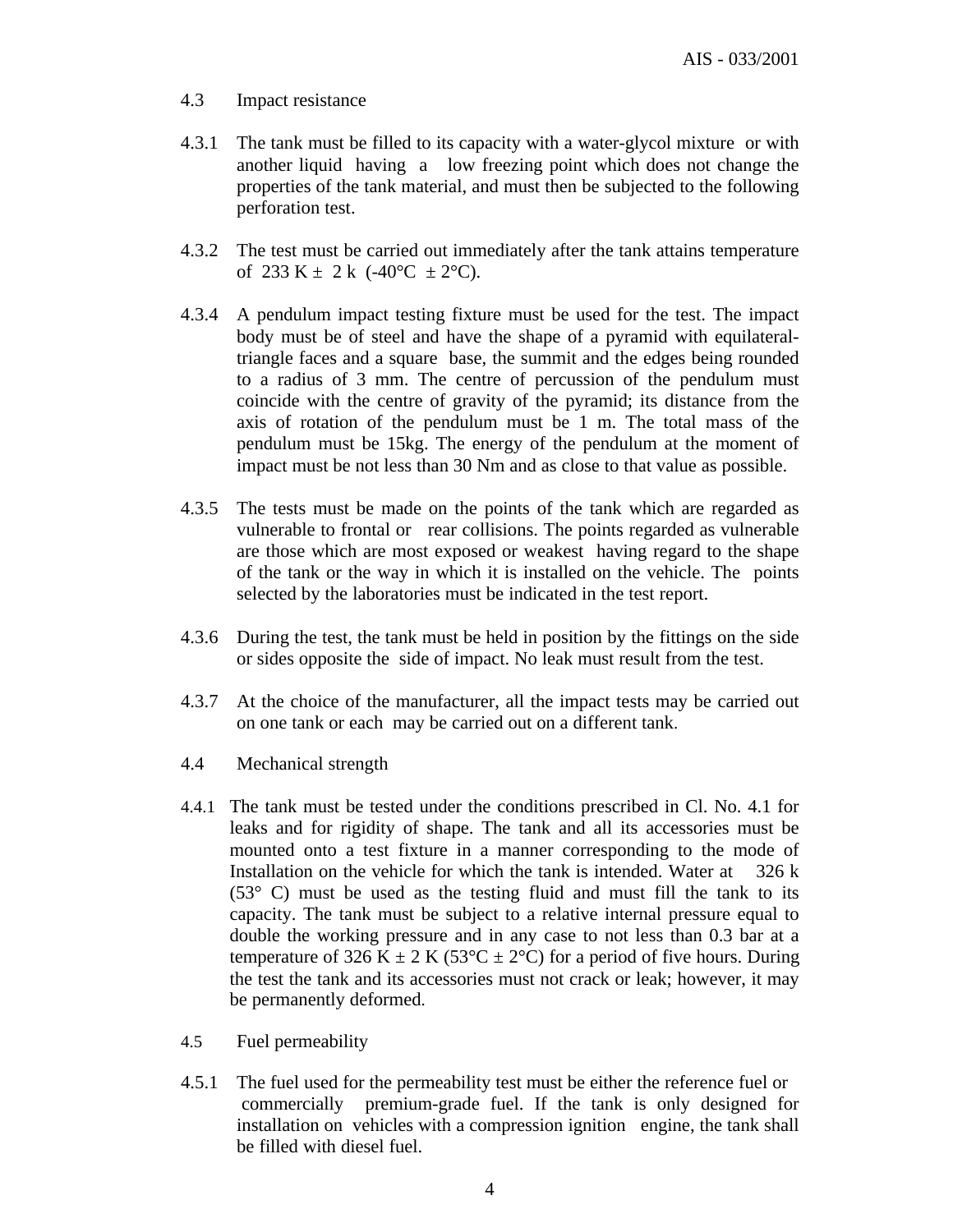#### 4.3 Impact resistance

- 4.3.1 The tank must be filled to its capacity with a water-glycol mixture or with another liquid having a low freezing point which does not change the properties of the tank material, and must then be subjected to the following perforation test.
- 4.3.2 The test must be carried out immediately after the tank attains temperature of 233 K  $\pm$  2 k (-40°C  $\pm$  2°C).
- 4.3.4 A pendulum impact testing fixture must be used for the test. The impact body must be of steel and have the shape of a pyramid with equilateraltriangle faces and a square base, the summit and the edges being rounded to a radius of 3 mm. The centre of percussion of the pendulum must coincide with the centre of gravity of the pyramid; its distance from the axis of rotation of the pendulum must be 1 m. The total mass of the pendulum must be 15kg. The energy of the pendulum at the moment of impact must be not less than 30 Nm and as close to that value as possible.
- 4.3.5 The tests must be made on the points of the tank which are regarded as vulnerable to frontal or rear collisions. The points regarded as vulnerable are those which are most exposed or weakest having regard to the shape of the tank or the way in which it is installed on the vehicle. The points selected by the laboratories must be indicated in the test report.
- 4.3.6 During the test, the tank must be held in position by the fittings on the side or sides opposite the side of impact. No leak must result from the test.
- 4.3.7 At the choice of the manufacturer, all the impact tests may be carried out on one tank or each may be carried out on a different tank.
- 4.4 Mechanical strength
- 4.4.1 The tank must be tested under the conditions prescribed in Cl. No. 4.1 for leaks and for rigidity of shape. The tank and all its accessories must be mounted onto a test fixture in a manner corresponding to the mode of Installation on the vehicle for which the tank is intended. Water at  $326 \text{ k}$  $(53^{\circ}$  C) must be used as the testing fluid and must fill the tank to its capacity. The tank must be subject to a relative internal pressure equal to double the working pressure and in any case to not less than 0.3 bar at a temperature of 326 K  $\pm$  2 K (53°C  $\pm$  2°C) for a period of five hours. During the test the tank and its accessories must not crack or leak; however, it may be permanently deformed.
- 4.5 Fuel permeability
- 4.5.1 The fuel used for the permeability test must be either the reference fuel or commercially premium-grade fuel. If the tank is only designed for installation on vehicles with a compression ignition engine, the tank shall be filled with diesel fuel.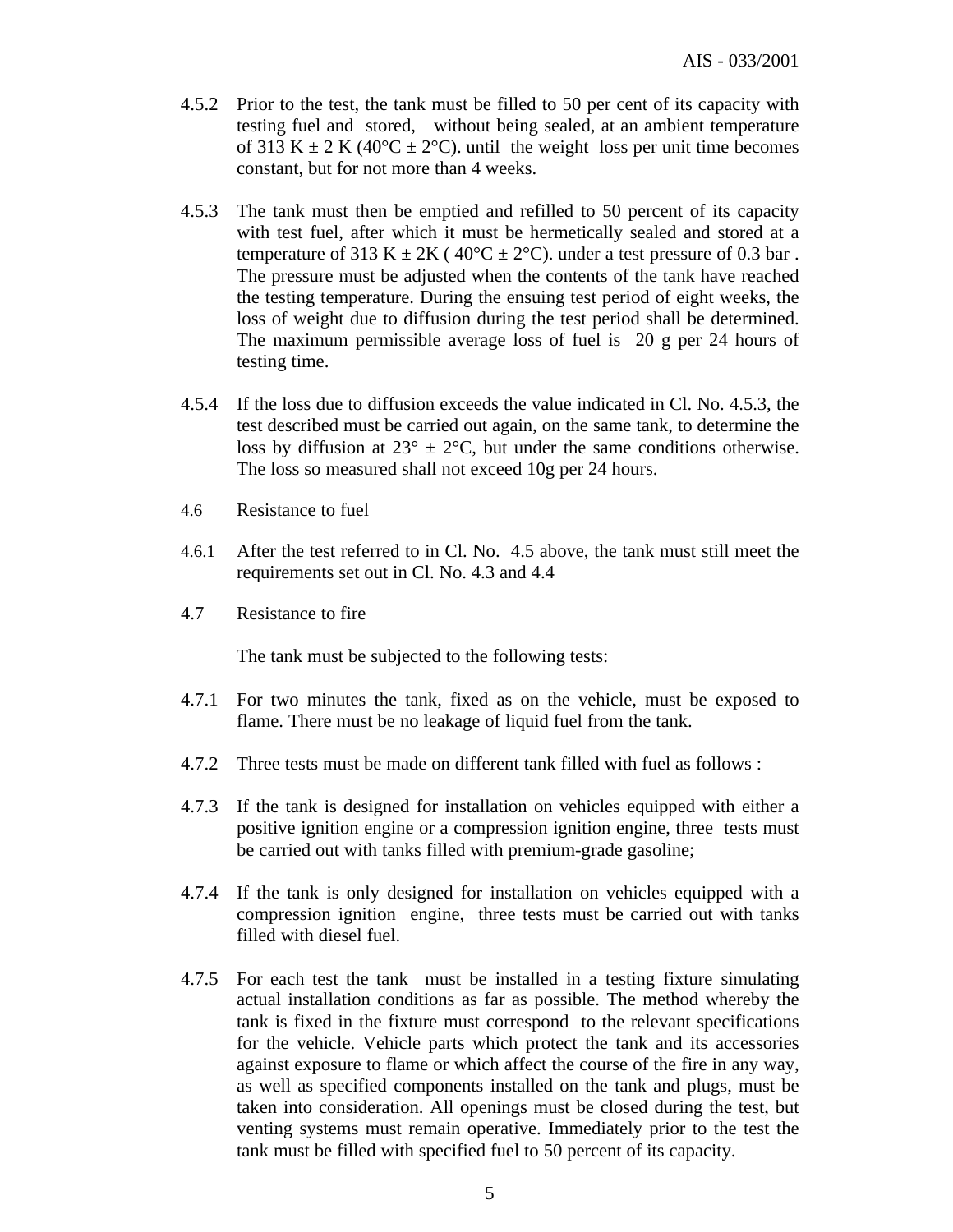- 4.5.2 Prior to the test, the tank must be filled to 50 per cent of its capacity with testing fuel and stored, without being sealed, at an ambient temperature of 313 K  $\pm$  2 K (40°C  $\pm$  2°C). until the weight loss per unit time becomes constant, but for not more than 4 weeks.
- 4.5.3 The tank must then be emptied and refilled to 50 percent of its capacity with test fuel, after which it must be hermetically sealed and stored at a temperature of 313 K  $\pm 2K$  (40°C  $\pm 2$ °C). under a test pressure of 0.3 bar. The pressure must be adjusted when the contents of the tank have reached the testing temperature. During the ensuing test period of eight weeks, the loss of weight due to diffusion during the test period shall be determined. The maximum permissible average loss of fuel is 20 g per 24 hours of testing time.
- 4.5.4 If the loss due to diffusion exceeds the value indicated in Cl. No. 4.5.3, the test described must be carried out again, on the same tank, to determine the loss by diffusion at  $23^{\circ} \pm 2^{\circ}$ C, but under the same conditions otherwise. The loss so measured shall not exceed 10g per 24 hours.
- 4.6 Resistance to fuel
- 4.6.1 After the test referred to in Cl. No. 4.5 above, the tank must still meet the requirements set out in Cl. No. 4.3 and 4.4
- 4.7 Resistance to fire

The tank must be subjected to the following tests:

- 4.7.1 For two minutes the tank, fixed as on the vehicle, must be exposed to flame. There must be no leakage of liquid fuel from the tank.
- 4.7.2 Three tests must be made on different tank filled with fuel as follows :
- 4.7.3 If the tank is designed for installation on vehicles equipped with either a positive ignition engine or a compression ignition engine, three tests must be carried out with tanks filled with premium-grade gasoline;
- 4.7.4 If the tank is only designed for installation on vehicles equipped with a compression ignition engine, three tests must be carried out with tanks filled with diesel fuel.
- 4.7.5 For each test the tank must be installed in a testing fixture simulating actual installation conditions as far as possible. The method whereby the tank is fixed in the fixture must correspond to the relevant specifications for the vehicle. Vehicle parts which protect the tank and its accessories against exposure to flame or which affect the course of the fire in any way, as well as specified components installed on the tank and plugs, must be taken into consideration. All openings must be closed during the test, but venting systems must remain operative. Immediately prior to the test the tank must be filled with specified fuel to 50 percent of its capacity.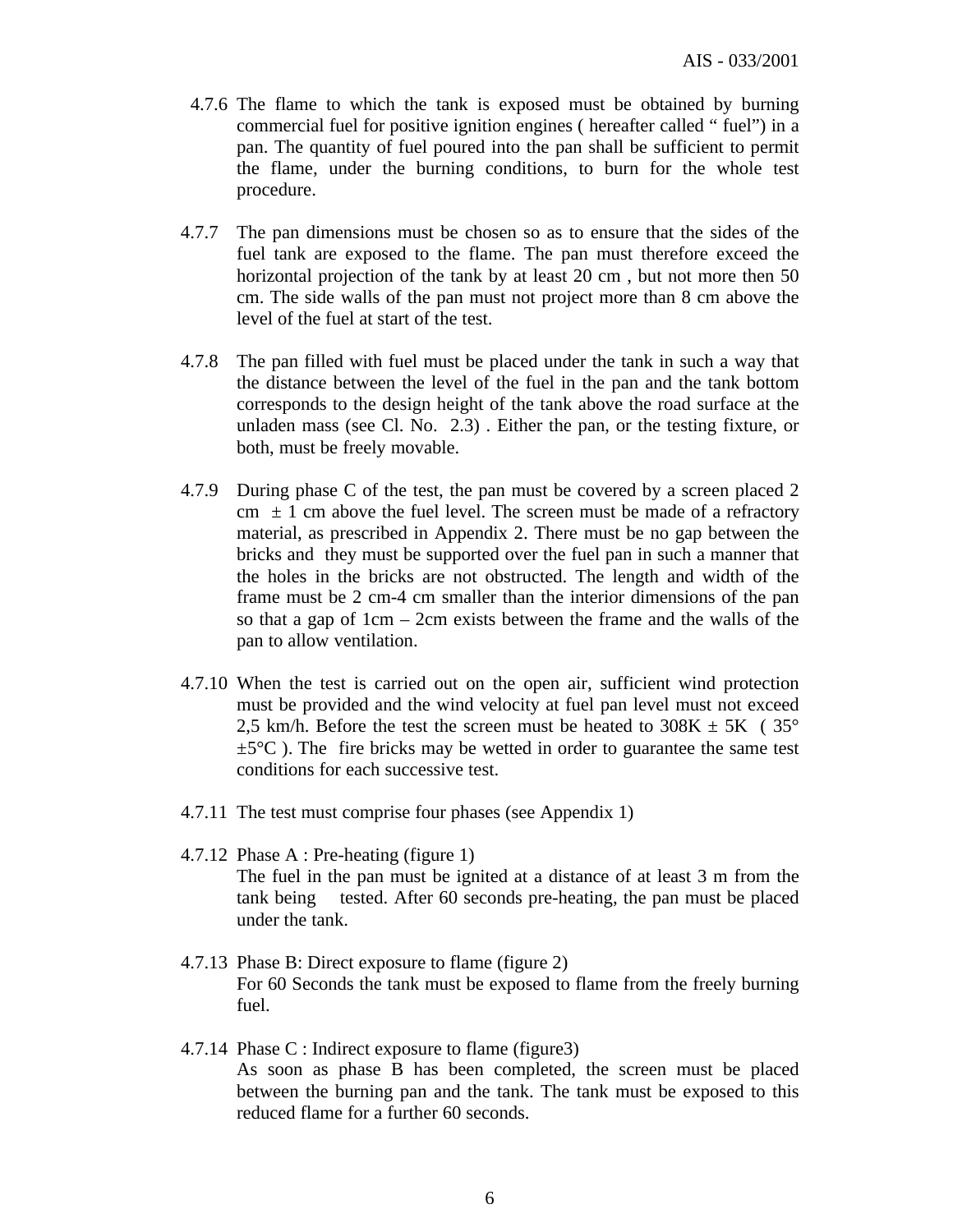- 4.7.6 The flame to which the tank is exposed must be obtained by burning commercial fuel for positive ignition engines ( hereafter called " fuel") in a pan. The quantity of fuel poured into the pan shall be sufficient to permit the flame, under the burning conditions, to burn for the whole test procedure.
- 4.7.7 The pan dimensions must be chosen so as to ensure that the sides of the fuel tank are exposed to the flame. The pan must therefore exceed the horizontal projection of the tank by at least 20 cm , but not more then 50 cm. The side walls of the pan must not project more than 8 cm above the level of the fuel at start of the test.
- 4.7.8 The pan filled with fuel must be placed under the tank in such a way that the distance between the level of the fuel in the pan and the tank bottom corresponds to the design height of the tank above the road surface at the unladen mass (see Cl. No. 2.3) . Either the pan, or the testing fixture, or both, must be freely movable.
- 4.7.9 During phase C of the test, the pan must be covered by a screen placed 2 cm  $\pm$  1 cm above the fuel level. The screen must be made of a refractory material, as prescribed in Appendix 2. There must be no gap between the bricks and they must be supported over the fuel pan in such a manner that the holes in the bricks are not obstructed. The length and width of the frame must be 2 cm-4 cm smaller than the interior dimensions of the pan so that a gap of 1cm – 2cm exists between the frame and the walls of the pan to allow ventilation.
- 4.7.10 When the test is carried out on the open air, sufficient wind protection must be provided and the wind velocity at fuel pan level must not exceed 2.5 km/h. Before the test the screen must be heated to  $308K \pm 5K$  ( $35^{\circ}$ )  $\pm 5^{\circ}$ C ). The fire bricks may be wetted in order to guarantee the same test conditions for each successive test.
- 4.7.11 The test must comprise four phases (see Appendix 1)
- 4.7.12 Phase A : Pre-heating (figure 1) The fuel in the pan must be ignited at a distance of at least 3 m from the tank being tested. After 60 seconds pre-heating, the pan must be placed under the tank.
- 4.7.13 Phase B: Direct exposure to flame (figure 2) For 60 Seconds the tank must be exposed to flame from the freely burning fuel.
- 4.7.14 Phase C : Indirect exposure to flame (figure3) As soon as phase B has been completed, the screen must be placed between the burning pan and the tank. The tank must be exposed to this reduced flame for a further 60 seconds.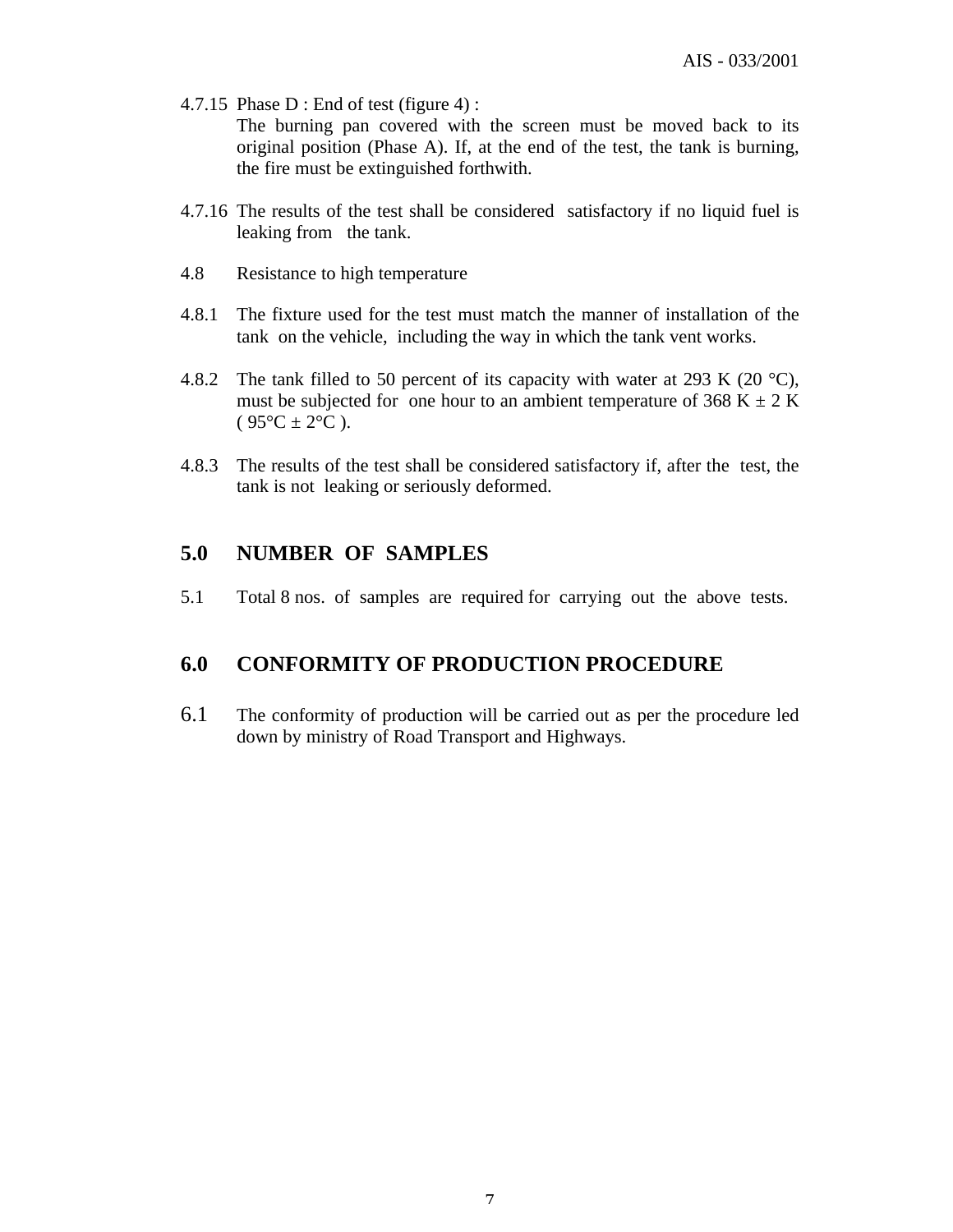- 4.7.15 Phase D : End of test (figure 4) : The burning pan covered with the screen must be moved back to its original position (Phase A). If, at the end of the test, the tank is burning, the fire must be extinguished forthwith.
- 4.7.16 The results of the test shall be considered satisfactory if no liquid fuel is leaking from the tank.
- 4.8 Resistance to high temperature
- 4.8.1 The fixture used for the test must match the manner of installation of the tank on the vehicle, including the way in which the tank vent works.
- 4.8.2 The tank filled to 50 percent of its capacity with water at 293 K (20  $^{\circ}$ C), must be subjected for one hour to an ambient temperature of 368 K  $\pm$  2 K  $(95^{\circ}C \pm 2^{\circ}C)$ .
- 4.8.3 The results of the test shall be considered satisfactory if, after the test, the tank is not leaking or seriously deformed.

# **5.0 NUMBER OF SAMPLES**

5.1 Total 8 nos. of samples are required for carrying out the above tests.

# **6.0 CONFORMITY OF PRODUCTION PROCEDURE**

6.1 The conformity of production will be carried out as per the procedure led down by ministry of Road Transport and Highways.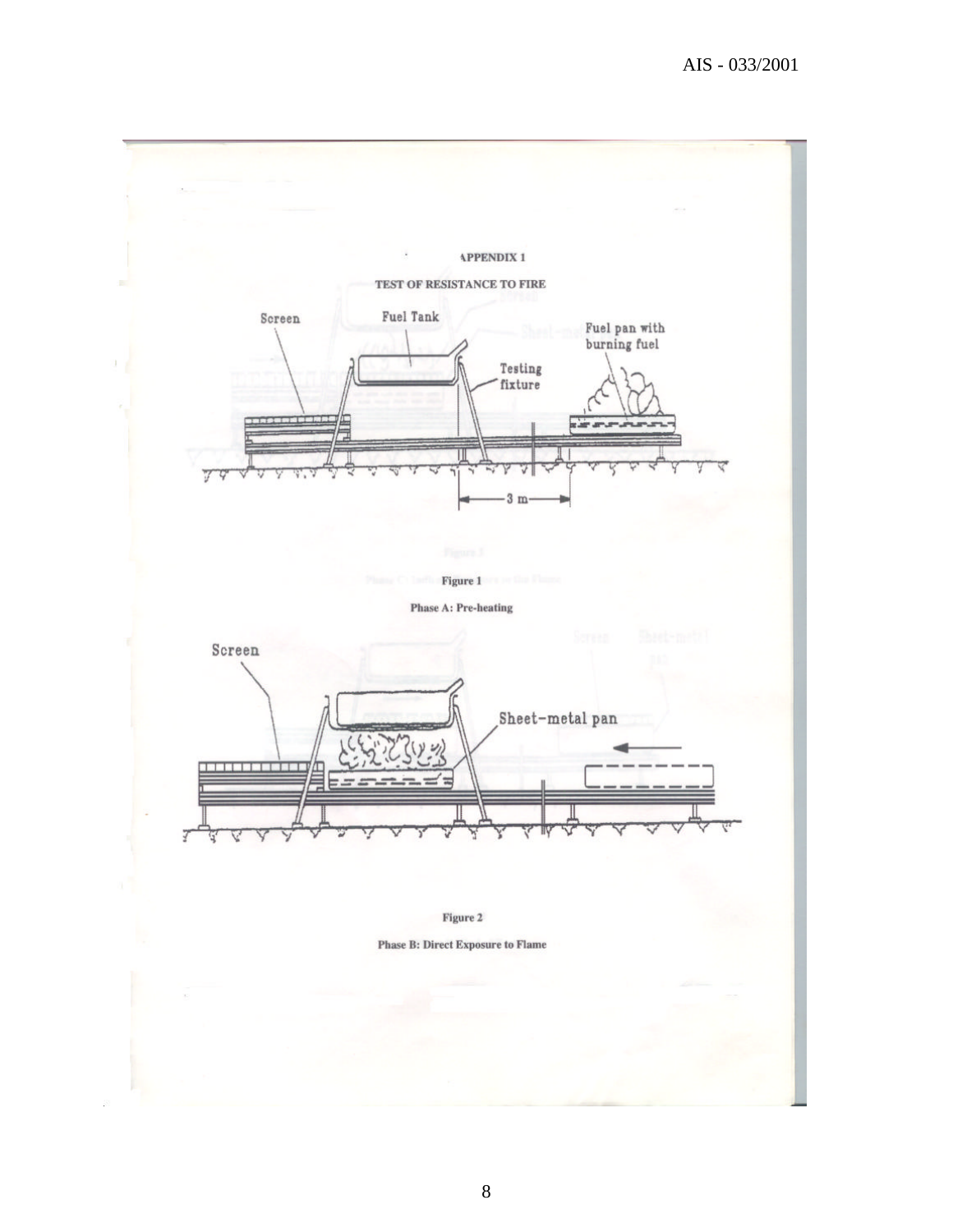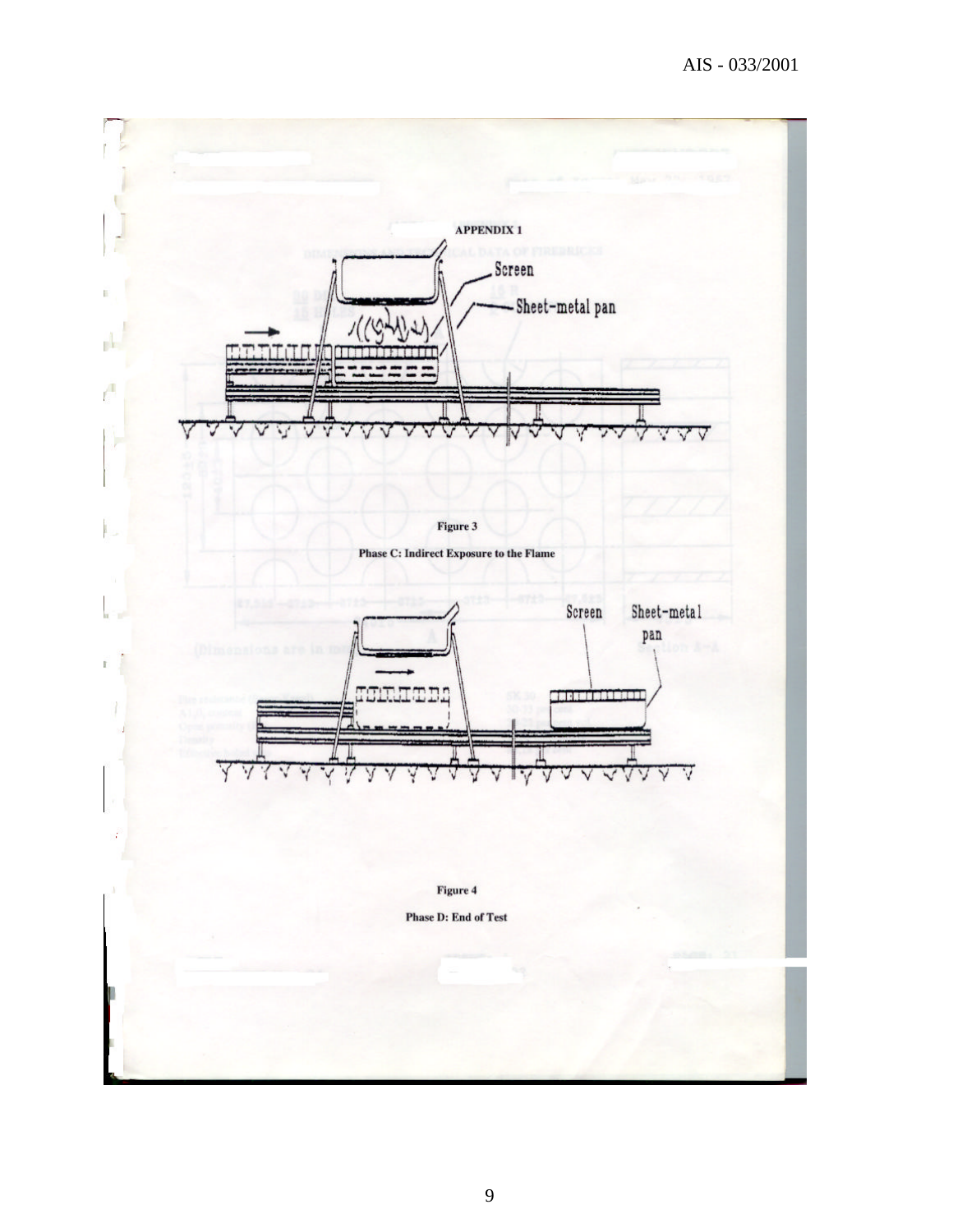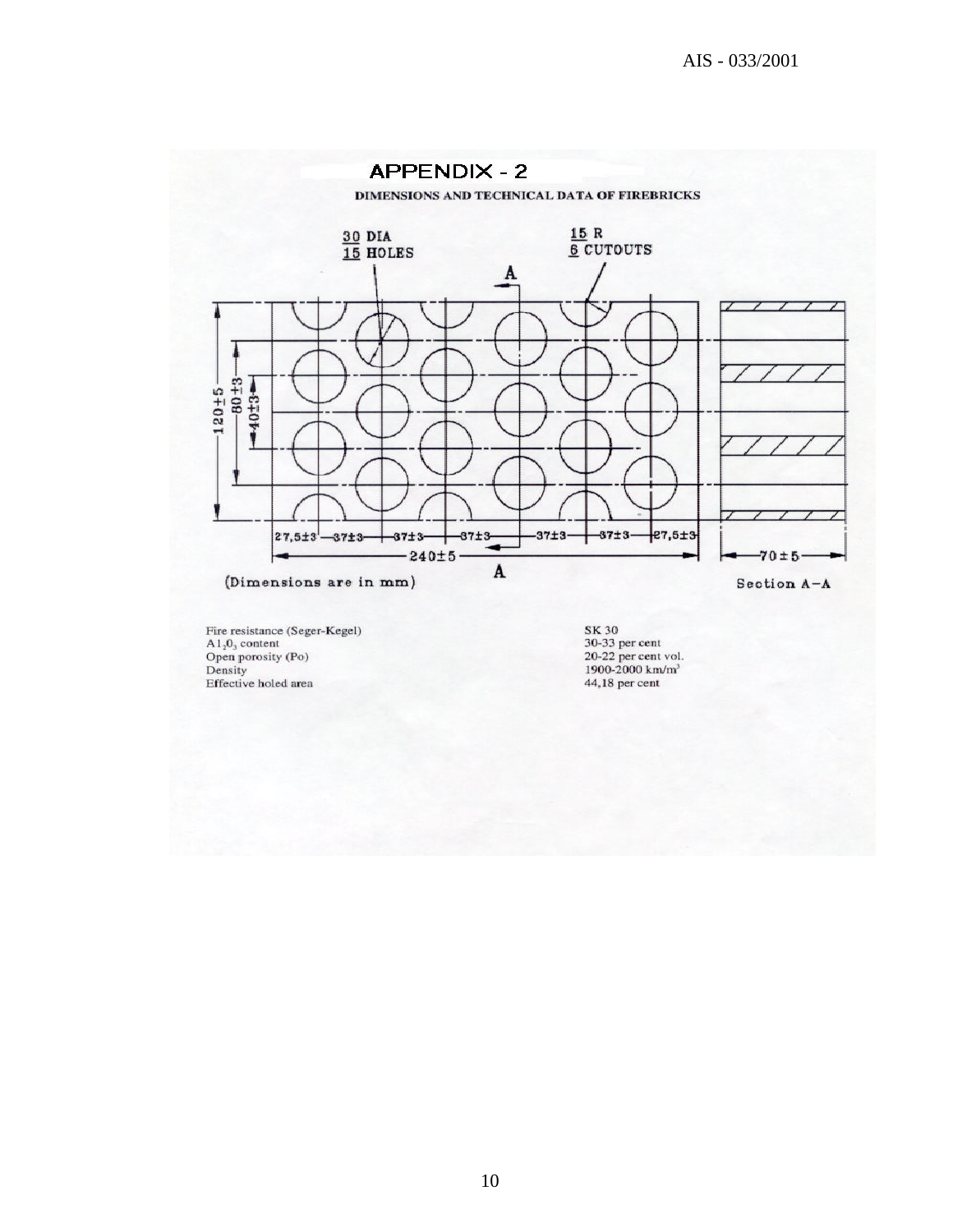

Fire resistance (sege  $A1_20_3$  content<br>Open porosity (Po)<br>Density Effective holed area

SK 30<br>30-33 per cent<br>20-22 per cent vol.<br>1900-2000 km/m<sup>3</sup> 44,18 per cent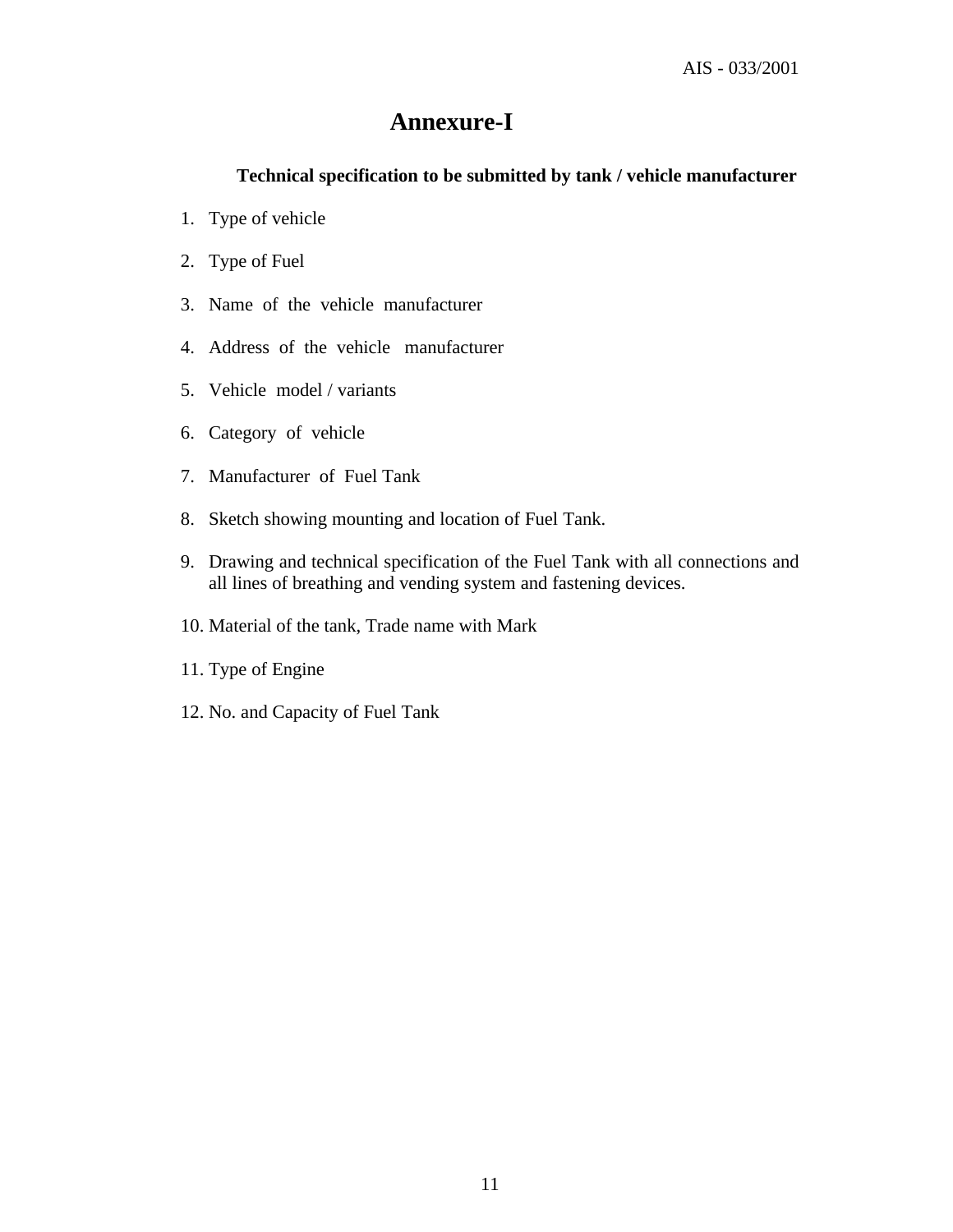# **Annexure-I**

## **Technical specification to be submitted by tank / vehicle manufacturer**

- 1. Type of vehicle
- 2. Type of Fuel
- 3. Name of the vehicle manufacturer
- 4. Address of the vehicle manufacturer
- 5. Vehicle model / variants
- 6. Category of vehicle
- 7. Manufacturer of Fuel Tank
- 8. Sketch showing mounting and location of Fuel Tank.
- 9. Drawing and technical specification of the Fuel Tank with all connections and all lines of breathing and vending system and fastening devices.
- 10. Material of the tank, Trade name with Mark
- 11. Type of Engine
- 12. No. and Capacity of Fuel Tank